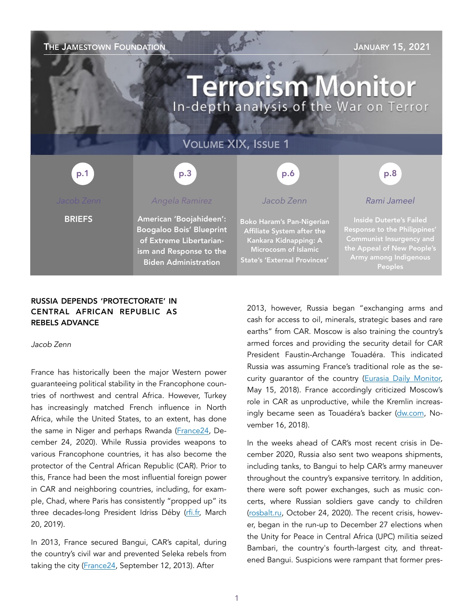## **THE JAMESTOWN FOUNDATION STATE AND ALCOHOLY AND A SERVICE STATE OF A STATE OF A STATE OF A STATE OF A STATE OF A STATE OF A STATE OF A STATE OF A STATE OF A STATE OF A STATE OF A STATE OF A STATE OF A STATE OF A STATE O**

# **Terrorism Monitor** In-depth analysis of the War on Terror

# VOLUME XIX, ISSUE 1



### RUSSIA DEPENDS 'PROTECTORATE' IN CENTRAL AFRICAN REPUBLIC AS REBELS ADVANCE

*Jacob Zenn* 

France has historically been the major Western power guaranteeing political stability in the Francophone countries of northwest and central Africa. However, Turkey has increasingly matched French influence in North Africa, while the United States, to an extent, has done the same in Niger and perhaps Rwanda ([France24,](https://www.france24.com/en/live-news/20201224-turkey-bolsters-influence-across-north-africa-s-maghreb) December 24, 2020). While Russia provides weapons to various Francophone countries, it has also become the protector of the Central African Republic (CAR). Prior to this, France had been the most influential foreign power in CAR and neighboring countries, including, for example, Chad, where Paris has consistently "propped up" its three decades-long President Idriss Déby [\(rfi.fr,](https://www.rfi.fr/en/africa/20190320-france-accused-propping-chad-idriss-deby-air-strikes-rebels-africa) March 20, 2019).

In 2013, France secured Bangui, CAR's capital, during the country's civil war and prevented Seleka rebels from taking the city [\(France24](https://www.france24.com/en/20131209-franch-troops-central-african-republic-disarm-rebels-seleka), September 12, 2013). After

2013, however, Russia began "exchanging arms and cash for access to oil, minerals, strategic bases and rare earths" from CAR. Moscow is also training the country's armed forces and providing the security detail for CAR President Faustin-Archange Touadéra. This indicated Russia was assuming France's traditional role as the security guarantor of the country ([Eurasia Daily Monitor,](https://jamestown.org/program/how-russia-is-displacing-the-french-in-the-struggle-for-influence-in-the-central-african-republic/) May 15, 2018). France accordingly criticized Moscow's role in CAR as unproductive, while the Kremlin increasingly became seen as Touadéra's backer ([dw.com,](https://www.dw.com/en/russia-and-france-bicker-as-un-extends-car-peacekeeping-mission/a-46327288) November 16, 2018).

In the weeks ahead of CAR's most recent crisis in December 2020, Russia also sent two weapons shipments, including tanks, to Bangui to help CAR's army maneuver throughout the country's expansive territory. In addition, there were soft power exchanges, such as music concerts, where Russian soldiers gave candy to children ([rosbalt.ru,](https://www.rosbalt.ru/world/2020/10/24/1869730.html) October 24, 2020). The recent crisis, however, began in the run-up to December 27 elections when the Unity for Peace in Central Africa (UPC) militia seized Bambari, the country's fourth-largest city, and threatened Bangui. Suspicions were rampant that former pres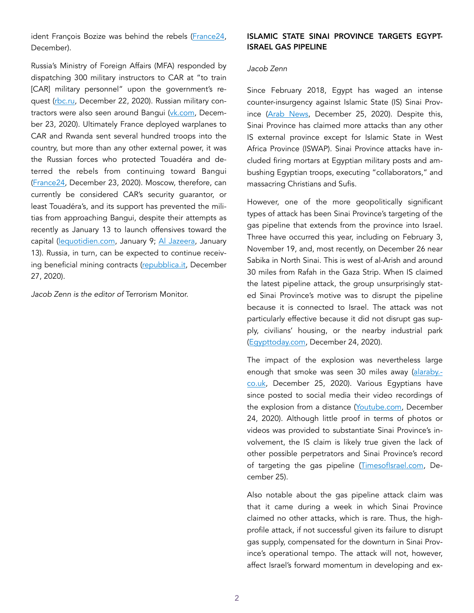ident François Bozize was behind the rebels ([France24,](https://www.france24.com/en/africa/20201222-rebels-seize-central-african-republic-s-fourth-largest-city-five-days-before-nationwide-elections?ref=tw) December).

Russia's Ministry of Foreign Affairs (MFA) responded by dispatching 300 military instructors to CAR at "to train [CAR] military personnel" upon the government's request ([rbc.ru,](https://www.rbc.ru/politics/22/12/2020/5fe20f139a794718e0c41bca) December 22, 2020). Russian military contractors were also seen around Bangui ([vk.com](https://vk.com/milinfolive?w=wall-123538639_1714136), December 23, 2020). Ultimately France deployed warplanes to CAR and Rwanda sent several hundred troops into the country, but more than any other external power, it was the Russian forces who protected Touadéra and deterred the rebels from continuing toward Bangui ([France24,](https://www.france24.com/en/africa/20201223-un-retakes-rebel-held-town-in-run-up-to-election-in-central-african-republic) December 23, 2020). Moscow, therefore, can currently be considered CAR's security guarantor, or least Touadéra's, and its support has prevented the militias from approaching Bangui, despite their attempts as recently as January 13 to launch offensives toward the capital ([lequotidien.com,](https://www.lequotidien.com/actualites/monde/centrafrique-les-rebelles-attaquent-une-ville-a-430-km-de-bangui-c39f8b0596faad02be105f7c3ac45f53?utm_medium=twitter&utm_source=dlvr.it) January 9; [Al Jazeera,](https://www.aljazeera.com/news/2021/1/13/rebels-launch-attacks-on-central-african-republics-capital) January 13). Russia, in turn, can be expected to continue receiving beneficial mining contracts ([repubblica.it,](https://www.repubblica.it/esteri/2020/12/27/news/troll_mercenari_e_diamanti_insanguinati_perche_la_russia_segue_il_voto_nella_repubblica_centrafricana-280093514/) December 27, 2020).

*Jacob Zenn is the editor of* Terrorism Monitor.

### ISLAMIC STATE SINAI PROVINCE TARGETS EGYPT-ISRAEL GAS PIPELINE

#### *Jacob Zenn*

Since February 2018, Egypt has waged an intense counter-insurgency against Islamic State (IS) Sinai Province [\(Arab News](https://www.arabnews.com/node/1782491/middle-east), December 25, 2020). Despite this, Sinai Province has claimed more attacks than any other IS external province except for Islamic State in West Africa Province (ISWAP). Sinai Province attacks have included firing mortars at Egyptian military posts and ambushing Egyptian troops, executing "collaborators," and massacring Christians and Sufis.

However, one of the more geopolitically significant types of attack has been Sinai Province's targeting of the gas pipeline that extends from the province into Israel. Three have occurred this year, including on February 3, November 19, and, most recently, on December 26 near Sabika in North Sinai. This is west of al-Arish and around 30 miles from Rafah in the Gaza Strip. When IS claimed the latest pipeline attack, the group unsurprisingly stated Sinai Province's motive was to disrupt the pipeline because it is connected to Israel. The attack was not particularly effective because it did not disrupt gas supply, civilians' housing, or the nearby industrial park ([Egypttoday.com,](https://www.egypttoday.com/Article/1/95733/Main-gas-pipeline-in-Arish-exploded) December 24, 2020).

The impact of the explosion was nevertheless large enough that smoke was seen 30 miles away ([alaraby.](https://english.alaraby.co.uk/english/news/2020/12/25/explosion-hits-gas-pipeline-in-egypts-north-sinai) [co.uk](https://english.alaraby.co.uk/english/news/2020/12/25/explosion-hits-gas-pipeline-in-egypts-north-sinai), December 25, 2020). Various Egyptians have since posted to social media their video recordings of the explosion from a distance ([Youtube.com,](https://www.youtube.com/watch?v=CwKTtjsfzvw&feature=emb_logo) December 24, 2020). Although little proof in terms of photos or videos was provided to substantiate Sinai Province's involvement, the IS claim is likely true given the lack of other possible perpetrators and Sinai Province's record of targeting the gas pipeline [\(TimesofIsrael.com](https://www.timesofisrael.com/explosion-hits-gas-pipeline-in-egypts-sinai-no-casualties/?utm_source=dlvr.it&utm_medium=twitter), December 25).

Also notable about the gas pipeline attack claim was that it came during a week in which Sinai Province claimed no other attacks, which is rare. Thus, the highprofile attack, if not successful given its failure to disrupt gas supply, compensated for the downturn in Sinai Province's operational tempo. The attack will not, however, affect Israel's forward momentum in developing and ex-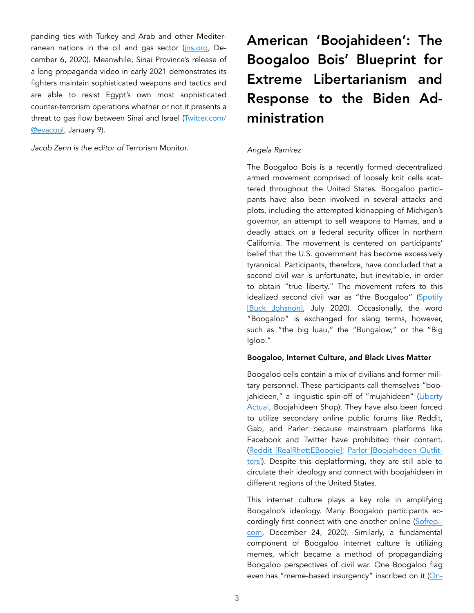panding ties with Turkey and Arab and other Mediterranean nations in the oil and gas sector (*ins.org*, December 6, 2020). Meanwhile, Sinai Province's release of a long propaganda video in early 2021 demonstrates its fighters maintain sophisticated weapons and tactics and are able to resist Egypt's own most sophisticated counter-terrorism operations whether or not it presents a threat to gas flow between Sinai and Israel [\(Twitter.com/](https://twitter.com/evacool_/status/1347648247884607489) [@evacool,](https://twitter.com/evacool_/status/1347648247884607489) January 9).

*Jacob Zenn is the editor of* Terrorism Monitor.

# American 'Boojahideen': The Boogaloo Bois' Blueprint for Extreme Libertarianism and Response to the Biden Administration

#### *Angela Ramirez*

The Boogaloo Bois is a recently formed decentralized armed movement comprised of loosely knit cells scattered throughout the United States. Boogaloo participants have also been involved in several attacks and plots, including the attempted kidnapping of Michigan's governor, an attempt to sell weapons to Hamas, and a deadly attack on a federal security officer in northern California. The movement is centered on participants' belief that the U.S. government has become excessively tyrannical. Participants, therefore, have concluded that a second civil war is unfortunate, but inevitable, in order to obtain "true liberty." The movement refers to this idealized second civil war as "the Boogaloo" ([Spotify](https://open.spotify.com/episode/61LyucFBQncwp9IzOAp65I) [\[Buck Johsnon\]](https://open.spotify.com/episode/61LyucFBQncwp9IzOAp65I), July 2020). Occasionally, the word "Boogaloo" is exchanged for slang terms, however, such as "the big luau," the "Bungalow," or the "Big Igloo."

#### Boogaloo, Internet Culture, and Black Lives Matter

Boogaloo cells contain a mix of civilians and former military personnel. These participants call themselves "boo-jahideen," a linguistic spin-off of "mujahideen" [\(Liberty](https://www.tbl-ind.com/) [Actual](https://www.tbl-ind.com/), Boojahideen Shop). They have also been forced to utilize secondary online public forums like Reddit, Gab, and Parler because mainstream platforms like Facebook and Twitter have prohibited their content. ([Reddit \[RealRhettEBoogie\];](https://www.reddit.com/user/RealRhettEBoogie/) [Parler \[Boojahideen Outfit](https://parler.com/profile/Boojahideenoutfitters/posts)[ters\]](https://parler.com/profile/Boojahideenoutfitters/posts)). Despite this deplatforming, they are still able to circulate their ideology and connect with boojahideen in different regions of the United States.

This internet culture plays a key role in amplifying Boogaloo's ideology. Many Boogaloo participants ac-cordingly first connect with one another online ([Sofrep.](https://sofrep.com/news/what-i-learned-from-riding-with-the-boogaloo-bois/https:/sofrep.com/news/what-i-learned-from-riding-with-the-boogaloo-bois/) [com,](https://sofrep.com/news/what-i-learned-from-riding-with-the-boogaloo-bois/https:/sofrep.com/news/what-i-learned-from-riding-with-the-boogaloo-bois/) December 24, 2020). Similarly, a fundamental component of Boogaloo internet culture is utilizing memes, which became a method of propagandizing Boogaloo perspectives of civil war. One Boogaloo flag even has "meme-based insurgency" inscribed on it ([On-](https://www.onlyfeds.com/shop-all?page=2)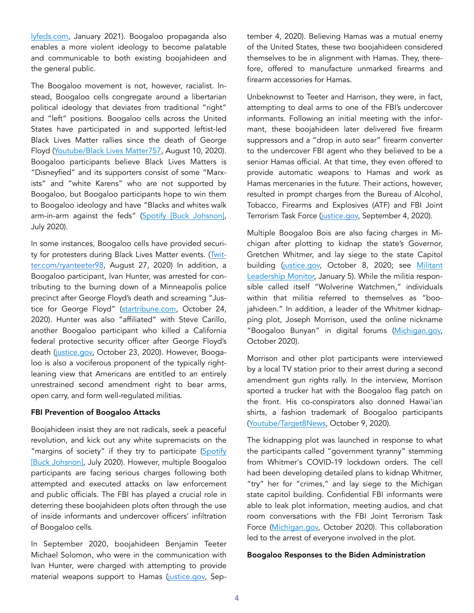[lyfeds.com](https://www.onlyfeds.com/shop-all?page=2), January 2021). Boogaloo propaganda also enables a more violent ideology to become palatable and communicable to both existing boojahideen and the general public.

The Boogaloo movement is not, however, racialist. Instead, Boogaloo cells congregate around a libertarian political ideology that deviates from traditional "right" and "left" positions. Boogaloo cells across the United States have participated in and supported leftist-led Black Lives Matter rallies since the death of George Floyd [\(Youtube/Black Lives Matter757](https://www.youtube.com/watch?v=nvUnTM267Cc&feature=youtu.be), August 10, 2020). Boogaloo participants believe Black Lives Matters is "Disneyfied" and its supporters consist of some "Marxists" and "white Karens" who are not supported by Boogaloo, but Boogaloo participants hope to win them to Boogaloo ideology and have "Blacks and whites walk arm-in-arm against the feds" ([Spotify \[Buck Johsnon\],](https://open.spotify.com/episode/61LyucFBQncwp9IzOAp65I) July 2020).

In some instances, Boogaloo cells have provided securi-ty for protesters during Black Lives Matter events. ([Twit](https://twitter.com/ryanteeter98/status/1298839218874011650)[ter.com/ryanteeter98,](https://twitter.com/ryanteeter98/status/1298839218874011650) August 27, 2020) In addition, a Boogaloo participant, Ivan Hunter, was arrested for contributing to the burning down of a Minneapolis police precinct after George Floyd's death and screaming "Justice for George Floyd" [\(startribune.com](https://www.startribune.com/charges-boogaloo-bois-fired-on-mpls-precinct-shouted-justice-for-floyd/572843802/), October 24, 2020). Hunter was also "affiliated" with Steve Carillo, another Boogaloo participant who killed a California federal protective security officer after George Floyd's death ([justice.gov](https://www.justice.gov/usao-mn/pr/self-described-member-boogaloo-bois-charged-riot), October 23, 2020). However, Boogaloo is also a vociferous proponent of the typically rightleaning view that Americans are entitled to an entirely unrestrained second amendment right to bear arms, open carry, and form well-regulated militias.

#### FBI Prevention of Boogaloo Attacks

Boojahideen insist they are not radicals, seek a peaceful revolution, and kick out any white supremacists on the "margins of society" if they try to participate ([Spotify](https://open.spotify.com/episode/61LyucFBQncwp9IzOAp65I)  [\[Buck Johsnon\]](https://open.spotify.com/episode/61LyucFBQncwp9IzOAp65I), July 2020). However, multiple Boogaloo participants are facing serious charges following both attempted and executed attacks on law enforcement and public officials. The FBI has played a crucial role in deterring these boojahideen plots often through the use of inside informants and undercover officers' infiltration of Boogaloo cells.

In September 2020, boojahideen Benjamin Teeter Michael Solomon, who were in the communication with Ivan Hunter, were charged with attempting to provide material weapons support to Hamas [\(justice.gov,](https://www.justice.gov/opa/pr/two-self-described-boogaloo-bois-charged-attempting-provide-material-support-hamas) September 4, 2020). Believing Hamas was a mutual enemy of the United States, these two boojahideen considered themselves to be in alignment with Hamas. They, therefore, offered to manufacture unmarked firearms and firearm accessories for Hamas.

Unbeknownst to Teeter and Harrison, they were, in fact, attempting to deal arms to one of the FBI's undercover informants. Following an initial meeting with the informant, these boojahideen later delivered five firearm suppressors and a "drop in auto sear" firearm converter to the undercover FBI agent who they believed to be a senior Hamas official. At that time, they even offered to provide automatic weapons to Hamas and work as Hamas mercenaries in the future. Their actions, however, resulted in prompt charges from the Bureau of Alcohol, Tobacco, Firearms and Explosives (ATF) and FBI Joint Terrorism Task Force [\(justice.gov,](https://www.justice.gov/opa/pr/two-self-described-boogaloo-bois-charged-attempting-provide-material-support-hamas) September 4, 2020).

Multiple Boogaloo Bois are also facing charges in Michigan after plotting to kidnap the state's Governor, Gretchen Whitmer, and lay siege to the state Capitol building ([justice.gov](https://www.justice.gov/opa/pr/six-arrested-federal-charge-conspiracy-kidnap-governor-michigan), October 8, 2020; see [Militant](https://jamestown.org/program/michigans-wolverine-watchmen-a-mosaic-of-boogaloo-right-wing-and-anarchist-militiamen/) [Leadership Monitor,](https://jamestown.org/program/michigans-wolverine-watchmen-a-mosaic-of-boogaloo-right-wing-and-anarchist-militiamen/) January 5). While the militia responsible called itself "Wolverine Watchmen," individuals within that militia referred to themselves as "boojahideen." In addition, a leader of the Whitmer kidnapping plot, Joseph Morrison, used the online nickname "Boogaloo Bunyan" in digital forums [\(Michigan.gov,](https://www.michigan.gov/documents/ag/affidavit_-_public_facing_-_HIGGINS_705198_7.pdf) October 2020).

Morrison and other plot participants were interviewed by a local TV station prior to their arrest during a second amendment gun rights rally. In the interview, Morrison sported a trucker hat with the Boogaloo flag patch on the front. His co-conspirators also donned Hawai'ian shirts, a fashion trademark of Boogaloo participants ([Youtube/Target8News,](https://www.youtube.com/watch?v=Ov2qVR2GQMY&feature=youtu.be) October 9, 2020).

The kidnapping plot was launched in response to what the participants called "government tyranny" stemming from Whitmer's COVID-19 lockdown orders. The cell had been developing detailed plans to kidnap Whitmer, "try" her for "crimes," and lay siege to the Michigan state capitol building. Confidential FBI informants were able to leak plot information, meeting audios, and chat room conversations with the FBI Joint Terrorism Task Force [\(Michigan.gov,](https://www.michigan.gov/documents/ag/affidavit_-_public_facing_-_HIGGINS_705198_7.pdf) October 2020). This collaboration led to the arrest of everyone involved in the plot.

#### Boogaloo Responses to the Biden Administration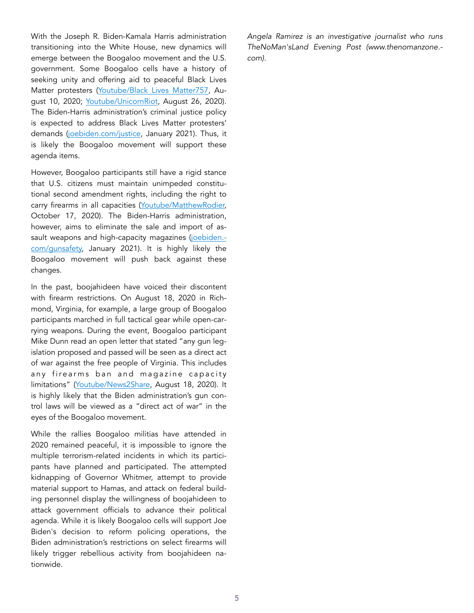With the Joseph R. Biden-Kamala Harris administration transitioning into the White House, new dynamics will emerge between the Boogaloo movement and the U.S. government. Some Boogaloo cells have a history of seeking unity and offering aid to peaceful Black Lives Matter protesters ([Youtube/Black Lives Matter757](https://www.youtube.com/watch?v=nvUnTM267Cc&feature=youtu.be), August 10, 2020; [Youtube/UnicornRiot,](https://www.youtube.com/watch?t=9949&v=ava1HJ4qIlg&feature=youtu.be) August 26, 2020). The Biden-Harris administration's criminal justice policy is expected to address Black Lives Matter protesters' demands [\(joebiden.com/justice,](https://joebiden.com/justice/) January 2021). Thus, it is likely the Boogaloo movement will support these agenda items.

However, Boogaloo participants still have a rigid stance that U.S. citizens must maintain unimpeded constitutional second amendment rights, including the right to carry firearms in all capacities ([Youtube/MatthewRodier,](https://www.youtube.com/watch?v=qzbEtgtkxrM&feature=youtu.be) October 17, 2020). The Biden-Harris administration, however, aims to eliminate the sale and import of assault weapons and high-capacity magazines ([joebiden.](https://joebiden.com/gunsafety/)[com/gunsafety,](https://joebiden.com/gunsafety/) January 2021). It is highly likely the Boogaloo movement will push back against these changes.

In the past, boojahideen have voiced their discontent with firearm restrictions. On August 18, 2020 in Richmond, Virginia, for example, a large group of Boogaloo participants marched in full tactical gear while open-carrying weapons. During the event, Boogaloo participant Mike Dunn read an open letter that stated "any gun legislation proposed and passed will be seen as a direct act of war against the free people of Virginia. This includes any firearms ban and magazine capacity limitations" ([Youtube/News2Share,](https://www.youtube.com/watch?v=Yu_LhWn_X0Y) August 18, 2020). It is highly likely that the Biden administration's gun control laws will be viewed as a "direct act of war" in the eyes of the Boogaloo movement.

While the rallies Boogaloo militias have attended in 2020 remained peaceful, it is impossible to ignore the multiple terrorism-related incidents in which its participants have planned and participated. The attempted kidnapping of Governor Whitmer, attempt to provide material support to Hamas, and attack on federal building personnel display the willingness of boojahideen to attack government officials to advance their political agenda. While it is likely Boogaloo cells will support Joe Biden's decision to reform policing operations, the Biden administration's restrictions on select firearms will likely trigger rebellious activity from boojahideen nationwide.

*Angela Ramirez is an investigative journalist who runs TheNoMan'sLand Evening Post (www.thenomanzone. com).*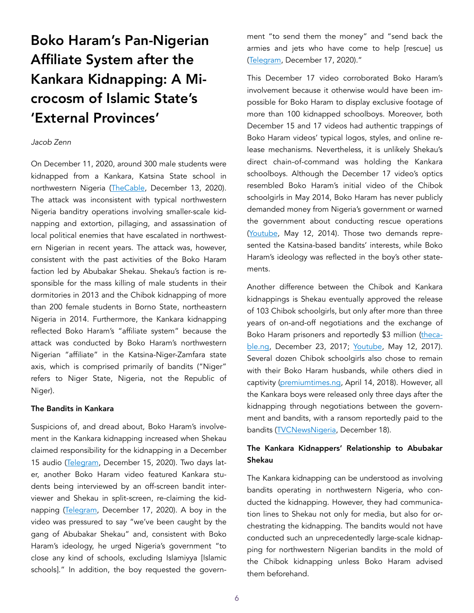# Boko Haram's Pan-Nigerian Affiliate System after the Kankara Kidnapping: A Microcosm of Islamic State's 'External Provinces'

#### *Jacob Zenn*

On December 11, 2020, around 300 male students were kidnapped from a Kankara, Katsina State school in northwestern Nigeria ([TheCable,](https://www.thecable.ng/breaking-masari-confirms-over-300-students-missing-after-katsina-attack) December 13, 2020). The attack was inconsistent with typical northwestern Nigeria banditry operations involving smaller-scale kidnapping and extortion, pillaging, and assassination of local political enemies that have escalated in northwestern Nigerian in recent years. The attack was, however, consistent with the past activities of the Boko Haram faction led by Abubakar Shekau. Shekau's faction is responsible for the mass killing of male students in their dormitories in 2013 and the Chibok kidnapping of more than 200 female students in Borno State, northeastern Nigeria in 2014. Furthermore, the Kankara kidnapping reflected Boko Haram's "affiliate system" because the attack was conducted by Boko Haram's northwestern Nigerian "affiliate" in the Katsina-Niger-Zamfara state axis, which is comprised primarily of bandits ("Niger" refers to Niger State, Nigeria, not the Republic of Niger).

#### The Bandits in Kankara

Suspicions of, and dread about, Boko Haram's involvement in the Kankara kidnapping increased when Shekau claimed responsibility for the kidnapping in a December 15 audio [\(Telegram](https://unmaskingbokoharam.com/2020/12/22/boko-haram-proof-of-life-of-kankara-schoolboys-video-december-17-2020/), December 15, 2020). Two days later, another Boko Haram video featured Kankara students being interviewed by an off-screen bandit interviewer and Shekau in split-screen, re-claiming the kid-napping ([Telegram](https://unmaskingbokoharam.com/2020/12/22/boko-haram-proof-of-life-of-kankara-schoolboys-video-december-17-2020/), December 17, 2020). A boy in the video was pressured to say "we've been caught by the gang of Abubakar Shekau" and, consistent with Boko Haram's ideology, he urged Nigeria's government "to close any kind of schools, excluding Islamiyya [Islamic schools]." In addition, the boy requested the government "to send them the money" and "send back the armies and jets who have come to help [rescue] us ([Telegram](https://unmaskingbokoharam.com/2020/12/22/boko-haram-proof-of-life-of-kankara-schoolboys-video-december-17-2020/), December 17, 2020)."

This December 17 video corroborated Boko Haram's involvement because it otherwise would have been impossible for Boko Haram to display exclusive footage of more than 100 kidnapped schoolboys. Moreover, both December 15 and 17 videos had authentic trappings of Boko Haram videos' typical logos, styles, and online release mechanisms. Nevertheless, it is unlikely Shekau's direct chain-of-command was holding the Kankara schoolboys. Although the December 17 video's optics resembled Boko Haram's initial video of the Chibok schoolgirls in May 2014, Boko Haram has never publicly demanded money from Nigeria's government or warned the government about conducting rescue operations ([Youtube,](https://unmaskingbokoharam.com/2019/04/09/abubakar-shekau-second-claim-of-chibok-schoolgirls-kidnapping-may-12-2014/) May 12, 2014). Those two demands represented the Katsina-based bandits' interests, while Boko Haram's ideology was reflected in the boy's other statements.

Another difference between the Chibok and Kankara kidnappings is Shekau eventually approved the release of 103 Chibok schoolgirls, but only after more than three years of on-and-off negotiations and the exchange of Boko Haram prisoners and reportedly \$3 million [\(theca](https://www.thecable.ng/fg-paid-3m-euros-release-103-chibok-girls)[ble.ng,](https://www.thecable.ng/fg-paid-3m-euros-release-103-chibok-girls) December 23, 2017; [Youtube,](https://unmaskingbokoharam.com/2019/04/08/boko-haram-video-of-shuaibu-moni-after-chibok-release-may-12-2017/) May 12, 2017). Several dozen Chibok schoolgirls also chose to remain with their Boko Haram husbands, while others died in captivity [\(premiumtimes.ng](https://www.premiumtimesng.com/news/headlines/264999-presidency-reacts-to-salkidas-claim-on-chibok-girls-deaths.html), April 14, 2018). However, all the Kankara boys were released only three days after the kidnapping through negotiations between the government and bandits, with a ransom reportedly paid to the bandits ([TVCNewsNigeria](https://www.youtube.com/watch?v=RWW3zCZQh0o), December 18).

### The Kankara Kidnappers' Relationship to Abubakar Shekau

The Kankara kidnapping can be understood as involving bandits operating in northwestern Nigeria, who conducted the kidnapping. However, they had communication lines to Shekau not only for media, but also for orchestrating the kidnapping. The bandits would not have conducted such an unprecedentedly large-scale kidnapping for northwestern Nigerian bandits in the mold of the Chibok kidnapping unless Boko Haram advised them beforehand.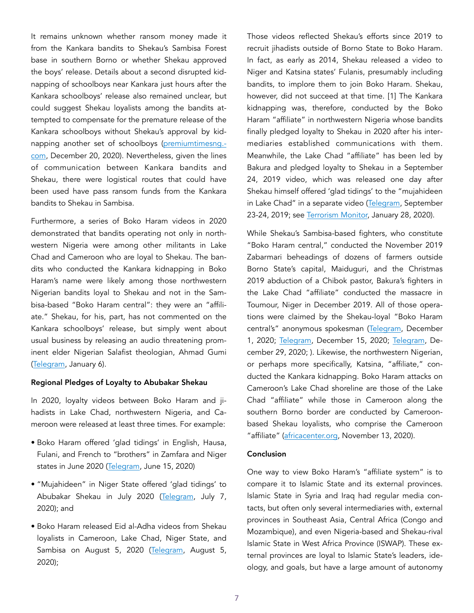It remains unknown whether ransom money made it from the Kankara bandits to Shekau's Sambisa Forest base in southern Borno or whether Shekau approved the boys' release. Details about a second disrupted kidnapping of schoolboys near Kankara just hours after the Kankara schoolboys' release also remained unclear, but could suggest Shekau loyalists among the bandits attempted to compensate for the premature release of the Kankara schoolboys without Shekau's approval by kidnapping another set of schoolboys [\(premiumtimesng.](https://www.premiumtimesng.com/regional/nwest/432212-in-fresh-katsina-attack-bandits-kidnap-80-students-all-rescued-later.html) [com](https://www.premiumtimesng.com/regional/nwest/432212-in-fresh-katsina-attack-bandits-kidnap-80-students-all-rescued-later.html), December 20, 2020). Nevertheless, given the lines of communication between Kankara bandits and Shekau, there were logistical routes that could have been used have pass ransom funds from the Kankara bandits to Shekau in Sambisa.

Furthermore, a series of Boko Haram videos in 2020 demonstrated that bandits operating not only in northwestern Nigeria were among other militants in Lake Chad and Cameroon who are loyal to Shekau. The bandits who conducted the Kankara kidnapping in Boko Haram's name were likely among those northwestern Nigerian bandits loyal to Shekau and not in the Sambisa-based "Boko Haram central": they were an "affiliate." Shekau, for his, part, has not commented on the Kankara schoolboys' release, but simply went about usual business by releasing an audio threatening prominent elder Nigerian Salafist theologian, Ahmad Gumi ([Telegram,](https://unmaskingbokoharam.com/2021/01/08/boko-haram-abubakar-shekau-letter-to-ahmad-gumi-video-january-6-2021/) January 6).

#### Regional Pledges of Loyalty to Abubakar Shekau

In 2020, loyalty videos between Boko Haram and jihadists in Lake Chad, northwestern Nigeria, and Cameroon were released at least three times. For example:

- Boko Haram offered 'glad tidings' in English, Hausa, Fulani, and French to "brothers" in Zamfara and Niger states in June 2020 [\(Telegram](https://unmaskingbokoharam.com/2020/07/10/boko-haram-greetings-to-the-mujahideen-from-niger-state-video-july-7-2020/), June 15, 2020)
- "Mujahideen" in Niger State offered 'glad tidings' to Abubakar Shekau in July 2020 ([Telegram,](https://unmaskingbokoharam.com/2020/07/10/boko-haram-greetings-to-the-mujahideen-from-niger-state-video-july-7-2020/) July 7, 2020); and
- Boko Haram released Eid al-Adha videos from Shekau loyalists in Cameroon, Lake Chad, Niger State, and Sambisa on August 5, 2020 [\(Telegram](https://unmaskingbokoharam.com/2020/08/07/boko-haram-eid-al-adha-videos-from-cameroon-lake-chad-niger-state-and-sambisa-forest-august-5-2020/), August 5, 2020);

Those videos reflected Shekau's efforts since 2019 to recruit jihadists outside of Borno State to Boko Haram. In fact, as early as 2014, Shekau released a video to Niger and Katsina states' Fulanis, presumably including bandits, to implore them to join Boko Haram. Shekau, however, did not succeed at that time. [1] The Kankara kidnapping was, therefore, conducted by the Boko Haram "affiliate" in northwestern Nigeria whose bandits finally pledged loyalty to Shekau in 2020 after his intermediaries established communications with them. Meanwhile, the Lake Chad "affiliate" has been led by Bakura and pledged loyalty to Shekau in a September 24, 2019 video, which was released one day after Shekau himself offered 'glad tidings' to the "mujahideen in Lake Chad" in a separate video ([Telegram,](https://unmaskingbokoharam.com/2019/09/24/boko-haram-abubakar-shekau-message-of-glad-tidings-and-advice-to-my-brothers-in-allah-in-lake-chad-september-23-2019/) September 23-24, 2019; see [Terrorism Monitor,](https://jamestown.org/program/is-the-bakura-faction-boko-harams-new-force-enhancer-around-lake-chad/) January 28, 2020).

While Shekau's Sambisa-based fighters, who constitute "Boko Haram central," conducted the November 2019 Zabarmari beheadings of dozens of farmers outside Borno State's capital, Maiduguri, and the Christmas 2019 abduction of a Chibok pastor, Bakura's fighters in the Lake Chad "affiliate" conducted the massacre in Toumour, Niger in December 2019. All of those operations were claimed by the Shekau-loyal "Boko Haram central's" anonymous spokesman ([Telegram](https://unmaskingbokoharam.com/2020/12/01/boko-haram-new-letter-claiming-zabarmari-massacre-video-december-1-2020/), December 1, 2020; [Telegram](https://unmaskingbokoharam.com/2020/12/17/boko-haram-new-letter-2-claiming-toumour-niger-attack-video-december-15-2020/), December 15, 2020; [Telegram,](https://unmaskingbokoharam.com/2020/12/29/boko-haram-pastor-bulus-pemi-chibok-borno-proof-of-life-hostage-video-december-29-2020/) December 29, 2020; ). Likewise, the northwestern Nigerian, or perhaps more specifically, Katsina, "affiliate," conducted the Kankara kidnapping. Boko Haram attacks on Cameroon's Lake Chad shoreline are those of the Lake Chad "affiliate" while those in Cameroon along the southern Borno border are conducted by Cameroonbased Shekau loyalists, who comprise the Cameroon "affiliate" [\(africacenter.org](https://africacenter.org/spotlight/boko-haram-violence-against-civilians-spiking-in-northern-cameroon/), November 13, 2020).

#### Conclusion

One way to view Boko Haram's "affiliate system" is to compare it to Islamic State and its external provinces. Islamic State in Syria and Iraq had regular media contacts, but often only several intermediaries with, external provinces in Southeast Asia, Central Africa (Congo and Mozambique), and even Nigeria-based and Shekau-rival Islamic State in West Africa Province (ISWAP). These external provinces are loyal to Islamic State's leaders, ideology, and goals, but have a large amount of autonomy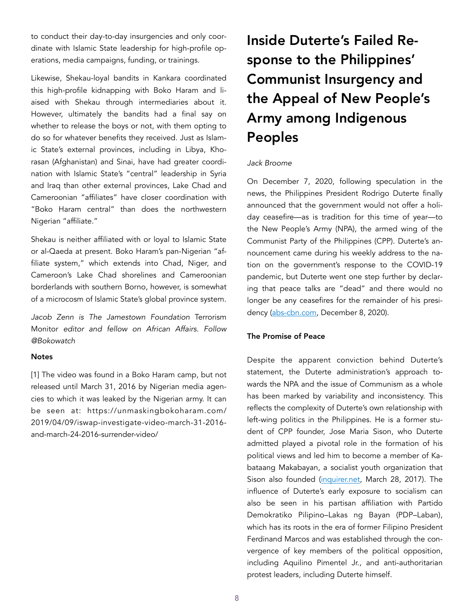to conduct their day-to-day insurgencies and only coordinate with Islamic State leadership for high-profile operations, media campaigns, funding, or trainings.

Likewise, Shekau-loyal bandits in Kankara coordinated this high-profile kidnapping with Boko Haram and liaised with Shekau through intermediaries about it. However, ultimately the bandits had a final say on whether to release the boys or not, with them opting to do so for whatever benefits they received. Just as Islamic State's external provinces, including in Libya, Khorasan (Afghanistan) and Sinai, have had greater coordination with Islamic State's "central" leadership in Syria and Iraq than other external provinces, Lake Chad and Cameroonian "affiliates" have closer coordination with "Boko Haram central" than does the northwestern Nigerian "affiliate."

Shekau is neither affiliated with or loyal to Islamic State or al-Qaeda at present. Boko Haram's pan-Nigerian "affiliate system," which extends into Chad, Niger, and Cameroon's Lake Chad shorelines and Cameroonian borderlands with southern Borno, however, is somewhat of a microcosm of Islamic State's global province system.

*Jacob Zenn is The Jamestown Foundation* Terrorism Monitor *editor and fellow on African Affairs. Follow @Bokowatch* 

#### **Notes**

[1] The video was found in a Boko Haram camp, but not released until March 31, 2016 by Nigerian media agencies to which it was leaked by the Nigerian army. It can be seen at: https://unmaskingbokoharam.com/ 2019/04/09/iswap-investigate-video-march-31-2016 and-march-24-2016-surrender-video/

# Inside Duterte's Failed Response to the Philippines' Communist Insurgency and the Appeal of New People's Army among Indigenous Peoples

#### *Jack Broome*

On December 7, 2020, following speculation in the news, the Philippines President Rodrigo Duterte finally announced that the government would not offer a holiday ceasefire—as is tradition for this time of year—to the New People's Army (NPA), the armed wing of the Communist Party of the Philippines (CPP). Duterte's announcement came during his weekly address to the nation on the government's response to the COVID-19 pandemic, but Duterte went one step further by declaring that peace talks are "dead" and there would no longer be any ceasefires for the remainder of his presidency ([abs-cbn.com,](https://news.abs-cbn) December 8, 2020).

### The Promise of Peace

Despite the apparent conviction behind Duterte's statement, the Duterte administration's approach towards the NPA and the issue of Communism as a whole has been marked by variability and inconsistency. This reflects the complexity of Duterte's own relationship with left-wing politics in the Philippines. He is a former student of CPP founder, Jose Maria Sison, who Duterte admitted played a pivotal role in the formation of his political views and led him to become a member of Kabataang Makabayan, a socialist youth organization that Sison also founded ([inquirer.net](https://newsinfo.inquirer.net/884438/joma-sison-wishes-best-of), March 28, 2017). The influence of Duterte's early exposure to socialism can also be seen in his partisan affiliation with Partido Demokratiko Pilipino–Lakas ng Bayan (PDP–Laban), which has its roots in the era of former Filipino President Ferdinand Marcos and was established through the convergence of key members of the political opposition, including Aquilino Pimentel Jr., and anti-authoritarian protest leaders, including Duterte himself.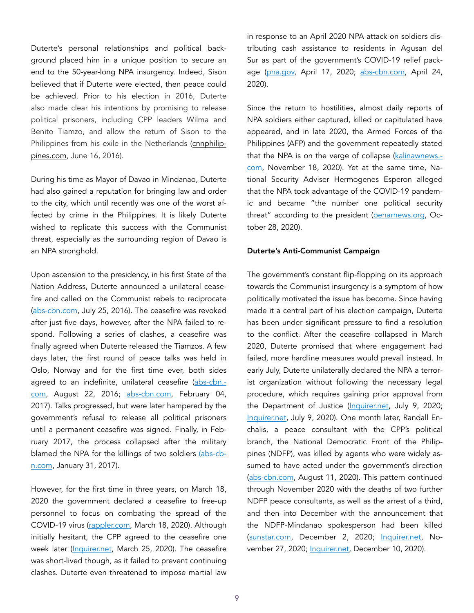Duterte's personal relationships and political background placed him in a unique position to secure an end to the 50-year-long NPA insurgency. Indeed, Sison believed that if Duterte were elected, then peace could be achieved. Prior to his election in 2016, Duterte also made clear his intentions by promising to release political prisoners, including CPP leaders Wilma and Benito Tiamzo, and allow the return of Sison to the Philippines from his exile in the Netherlands [\(cnnphilip](https://cnnphilippines.com/news/2016/06/16/GPH-NDF-peace-talks-set-for-July.html%22%20%5Ct%20%22_blank)[pines.com,](https://cnnphilippines.com/news/2016/06/16/GPH-NDF-peace-talks-set-for-July.html%22%20%5Ct%20%22_blank) June 16, 2016).

During his time as Mayor of Davao in Mindanao, Duterte had also gained a reputation for bringing law and order to the city, which until recently was one of the worst affected by crime in the Philippines. It is likely Duterte wished to replicate this success with the Communist threat, especially as the surrounding region of Davao is an NPA stronghold.

Upon ascension to the presidency, in his first State of the Nation Address, Duterte announced a unilateral ceasefire and called on the Communist rebels to reciprocate ([abs-cbn.com](https://news.abs-cbn.com/news/07/25/16/duterte-declares-unilateral-ceasefire-with-reds), July 25, 2016). The ceasefire was revoked after just five days, however, after the NPA failed to respond. Following a series of clashes, a ceasefire was finally agreed when Duterte released the Tiamzos. A few days later, the first round of peace talks was held in Oslo, Norway and for the first time ever, both sides agreed to an indefinite, unilateral ceasefire [\(abs-cbn.](https://news.abs-cbn.com/news/08/22/16/govt-communist-rebels-start-peace-talks-after-truce/)[com](https://news.abs-cbn.com/news/08/22/16/govt-communist-rebels-start-peace-talks-after-truce/), August 22, 2016; [abs-cbn.com](https://news.abs-cbn.com/focus/02/03/17/timeli), February 04, 2017). Talks progressed, but were later hampered by the government's refusal to release all political prisoners until a permanent ceasefire was signed. Finally, in February 2017, the process collapsed after the military blamed the NPA for the killings of two soldiers [\(abs-cb](https://news.abs-cbn.com/news/01/31/17/npa-behind-killing-of-2-soldiers-military-says%20%20)[n.com,](https://news.abs-cbn.com/news/01/31/17/npa-behind-killing-of-2-soldiers-military-says%20%20) January 31, 2017).

However, for the first time in three years, on March 18, 2020 the government declared a ceasefire to free-up personnel to focus on combating the spread of the COVID-19 virus ([rappler.com,](https://r3.rappler.com/nation/255064-duterte-declares-ceasefire-communists-coronavirus-outbreak) March 18, 2020). Although initially hesitant, the CPP agreed to the ceasefire one week later ([Inquirer.net](https://newsinfo.inquirer.net/1247910/cpp-announces-ceasefire-from-march-26-to-april-15-due-to-covid-19-pandemic), March 25, 2020). The ceasefire was short-lived though, as it failed to prevent continuing clashes. Duterte even threatened to impose martial law

in response to an April 2020 NPA attack on soldiers distributing cash assistance to residents in Agusan del Sur as part of the government's COVID-19 relief pack-age [\(pna.gov,](https://www.pna.gov.ph/articles/1100208) April 17, 2020; [abs-cbn.com,](https://news.abs-cbn.com/news/04/24/20/duterte-says-might-declare-martial-law-if-npa-attacks-continue) April 24, 2020).

Since the return to hostilities, almost daily reports of NPA soldiers either captured, killed or capitulated have appeared, and in late 2020, the Armed Forces of the Philippines (AFP) and the government repeatedly stated that the NPA is on the verge of collapse [\(kalinawnews.](https://www.kalinawnews.com/eastmincom-sees-rising-trend-of-cnt-neutralization/) [com,](https://www.kalinawnews.com/eastmincom-sees-rising-trend-of-cnt-neutralization/) November 18, 2020). Yet at the same time, National Security Adviser Hermogenes Esperon alleged that the NPA took advantage of the COVID-19 pandemic and became "the number one political security threat" according to the president [\(benarnews.org,](https://www.benarnews.org/english/news/philippine/communist-concerns-10282020154817.html) October 28, 2020).

#### Duterte's Anti-Communist Campaign

The government's constant flip-flopping on its approach towards the Communist insurgency is a symptom of how politically motivated the issue has become. Since having made it a central part of his election campaign, Duterte has been under significant pressure to find a resolution to the conflict. After the ceasefire collapsed in March 2020, Duterte promised that where engagement had failed, more hardline measures would prevail instead. In early July, Duterte unilaterally declared the NPA a terrorist organization without following the necessary legal procedure, which requires gaining prior approval from the Department of Justice [\(Inquirer.net](https://newsinfo.inquirer.net/1304070/duterte-tags-reds-terrorists-cites-on-off-peac), July 9, 2020; [Inquirer.net,](https://newsinfo.inquirer.net/1304689/duterte-declaring-communist-rebels-as-terrorists-a-personal-opinion-not-official-lacson) July 9, 2020). One month later, Randall Enchalis, a peace consultant with the CPP's political branch, the National Democratic Front of the Philippines (NDFP), was killed by agents who were widely assumed to have acted under the government's direction ([abs-cbn.com](https://news.abs-cbn.com/news/08/11/20/peace), August 11, 2020). This pattern continued through November 2020 with the deaths of two further NDFP peace consultants, as well as the arrest of a third, and then into December with the announcement that the NDFP-Mindanao spokesperson had been killed ([sunstar.com](https://www.sunstar.com.ph/article/1878742/Manila/Local-News/Communists-condemn-Duterte-PNP-over-killing-of-consultants?ref=rss&format=simple&link=link), December 2, 2020; [Inquirer.net](https://newsinfo.inquirer.net/1365700/ex-ndfp-peace-consultant-arrested-at-work-in-misamis-oriental), No-vember 27, 2020; [Inquirer.net](https://newsinfo.inquirer.net/1370258/ndf-mindanao-spokesman-slain-in-surigao-del-su), December 10, 2020).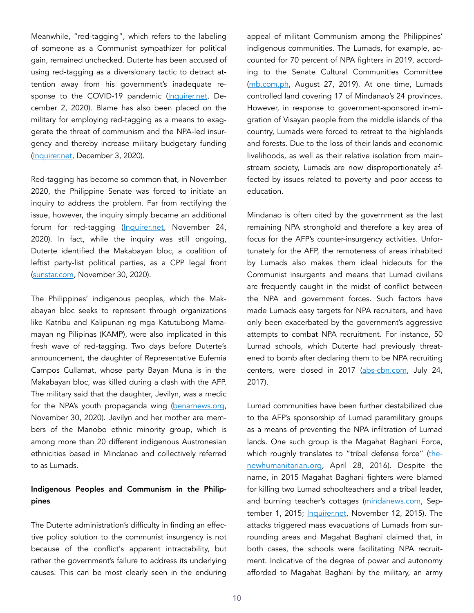Meanwhile, "red-tagging", which refers to the labeling of someone as a Communist sympathizer for political gain, remained unchecked. Duterte has been accused of using red-tagging as a diversionary tactic to detract attention away from his government's inadequate re-sponse to the COVID-19 pandemic [\(Inquirer.net,](https://newsinfo.inquirer.net/1367291/de-lima-duterte-rant-vs-makabayan-bloc-damage-control-for-pandemic-response-shortcoming) December 2, 2020). Blame has also been placed on the military for employing red-tagging as a means to exaggerate the threat of communism and the NPA-led insurgency and thereby increase military budgetary funding ([Inquirer.net](https://newsinfo.inquirer.net/1367582/fwd-lagma), December 3, 2020).

Red-tagging has become so common that, in November 2020, the Philippine Senate was forced to initiate an inquiry to address the problem. Far from rectifying the issue, however, the inquiry simply became an additional forum for red-tagging ([Inquirer.net,](https://newsinfo.inquirer.net/1364488/red-tagging-probe-turning-into-he-said-she-said-affair) November 24, 2020). In fact, while the inquiry was still ongoing, Duterte identified the Makabayan bloc, a coalition of leftist party-list political parties, as a CPP legal front ([sunstar.com](https://www.sunstar.com.ph/article/1878576/Manila/Local-News/Duterte-identifies-Makabayan-bloc-), November 30, 2020).

The Philippines' indigenous peoples, which the Makabayan bloc seeks to represent through organizations like Katribu and Kalipunan ng mga Katutubong Mamamayan ng Pilipinas (KAMP), were also implicated in this fresh wave of red-tagging. Two days before Duterte's announcement, the daughter of Representative Eufemia Campos Cullamat, whose party Bayan Muna is in the Makabayan bloc, was killed during a clash with the AFP. The military said that the daughter, Jevilyn, was a medic for the NPA's youth propaganda wing [\(benarnews.org,](https://www.benarnews.org/english/news/philippine/ph-communist-slain-11302020112241.html) November 30, 2020). Jevilyn and her mother are members of the Manobo ethnic minority group, which is among more than 20 different indigenous Austronesian ethnicities based in Mindanao and collectively referred to as Lumads.

# Indigenous Peoples and Communism in the Philippines

The Duterte administration's difficulty in finding an effective policy solution to the communist insurgency is not because of the conflict's apparent intractability, but rather the government's failure to address its underlying causes. This can be most clearly seen in the enduring

appeal of militant Communism among the Philippines' indigenous communities. The Lumads, for example, accounted for 70 percent of NPA fighters in 2019, according to the Senate Cultural Communities Committee ([mb.com.ph](https://mb.com.ph/2019/), August 27, 2019). At one time, Lumads controlled land covering 17 of Mindanao's 24 provinces. However, in response to government-sponsored in-migration of Visayan people from the middle islands of the country, Lumads were forced to retreat to the highlands and forests. Due to the loss of their lands and economic livelihoods, as well as their relative isolation from mainstream society, Lumads are now disproportionately affected by issues related to poverty and poor access to education.

Mindanao is often cited by the government as the last remaining NPA stronghold and therefore a key area of focus for the AFP's counter-insurgency activities. Unfortunately for the AFP, the remoteness of areas inhabited by Lumads also makes them ideal hideouts for the Communist insurgents and means that Lumad civilians are frequently caught in the midst of conflict between the NPA and government forces. Such factors have made Lumads easy targets for NPA recruiters, and have only been exacerbated by the government's aggressive attempts to combat NPA recruitment. For instance, 50 Lumad schools, which Duterte had previously threatened to bomb after declaring them to be NPA recruiting centers, were closed in 2017 [\(abs-cbn.com,](https://news.abs-cbn.com/news/07/24/17/duterte-threatens-to-bomb-lumad-schools) July 24, 2017).

Lumad communities have been further destabilized due to the AFP's sponsorship of Lumad paramilitary groups as a means of preventing the NPA infiltration of Lumad lands. One such group is the Magahat Baghani Force, which roughly translates to "tribal defense force" [\(the](https://www.thenewhumanitarian.org/fr/node/256191)[newhumanitarian.org,](https://www.thenewhumanitarian.org/fr/node/256191) April 28, 2016). Despite the name, in 2015 Magahat Baghani fighters were blamed for killing two Lumad schoolteachers and a tribal leader, and burning teacher's cottages [\(mindanews.com,](https://www.mindanews.com/top-stories/2015/09/lumad-school-director-2-others-killed-in-lianga-surig) September 1, 2015; [Inquirer.net](https://newsinfo.inquirer.net/738990/armed-men-burn-teachers-cottage-of-lumad-school), November 12, 2015). The attacks triggered mass evacuations of Lumads from surrounding areas and Magahat Baghani claimed that, in both cases, the schools were facilitating NPA recruitment. Indicative of the degree of power and autonomy afforded to Magahat Baghani by the military, an army